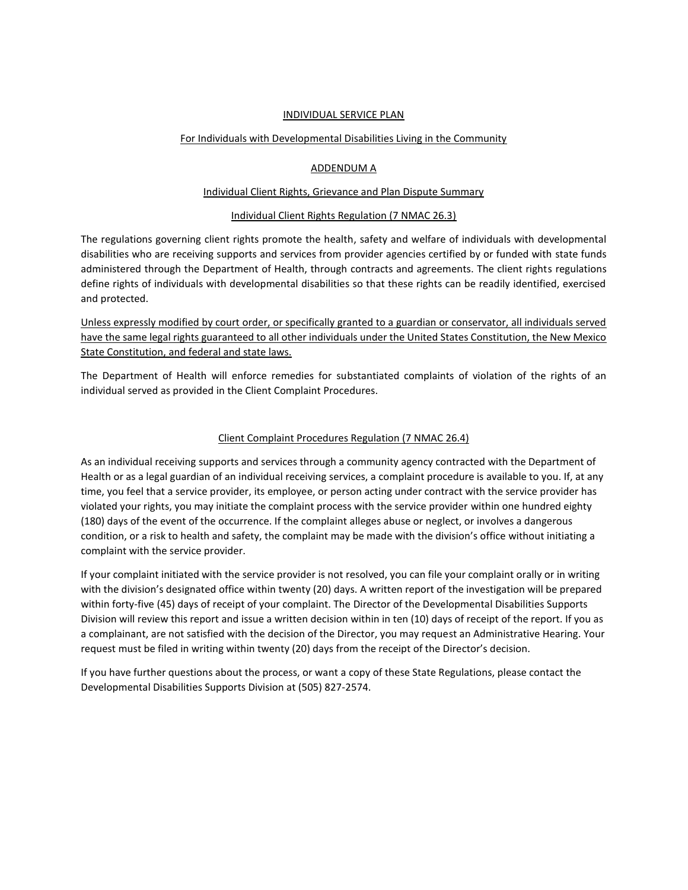#### INDIVIDUAL SERVICE PLAN

#### For Individuals with Developmental Disabilities Living in the Community

#### ADDENDUM A

#### Individual Client Rights, Grievance and Plan Dispute Summary

#### Individual Client Rights Regulation (7 NMAC 26.3)

The regulations governing client rights promote the health, safety and welfare of individuals with developmental disabilities who are receiving supports and services from provider agencies certified by or funded with state funds administered through the Department of Health, through contracts and agreements. The client rights regulations define rights of individuals with developmental disabilities so that these rights can be readily identified, exercised and protected.

Unless expressly modified by court order, or specifically granted to a guardian or conservator, all individuals served have the same legal rights guaranteed to all other individuals under the United States Constitution, the New Mexico State Constitution, and federal and state laws.

The Department of Health will enforce remedies for substantiated complaints of violation of the rights of an individual served as provided in the Client Complaint Procedures.

#### Client Complaint Procedures Regulation (7 NMAC 26.4)

As an individual receiving supports and services through a community agency contracted with the Department of Health or as a legal guardian of an individual receiving services, a complaint procedure is available to you. If, at any time, you feel that a service provider, its employee, or person acting under contract with the service provider has violated your rights, you may initiate the complaint process with the service provider within one hundred eighty (180) days of the event of the occurrence. If the complaint alleges abuse or neglect, or involves a dangerous condition, or a risk to health and safety, the complaint may be made with the division's office without initiating a complaint with the service provider.

If your complaint initiated with the service provider is not resolved, you can file your complaint orally or in writing with the division's designated office within twenty (20) days. A written report of the investigation will be prepared within forty-five (45) days of receipt of your complaint. The Director of the Developmental Disabilities Supports Division will review this report and issue a written decision within in ten (10) days of receipt of the report. If you as a complainant, are not satisfied with the decision of the Director, you may request an Administrative Hearing. Your request must be filed in writing within twenty (20) days from the receipt of the Director's decision.

If you have further questions about the process, or want a copy of these State Regulations, please contact the Developmental Disabilities Supports Division at (505) 827-2574.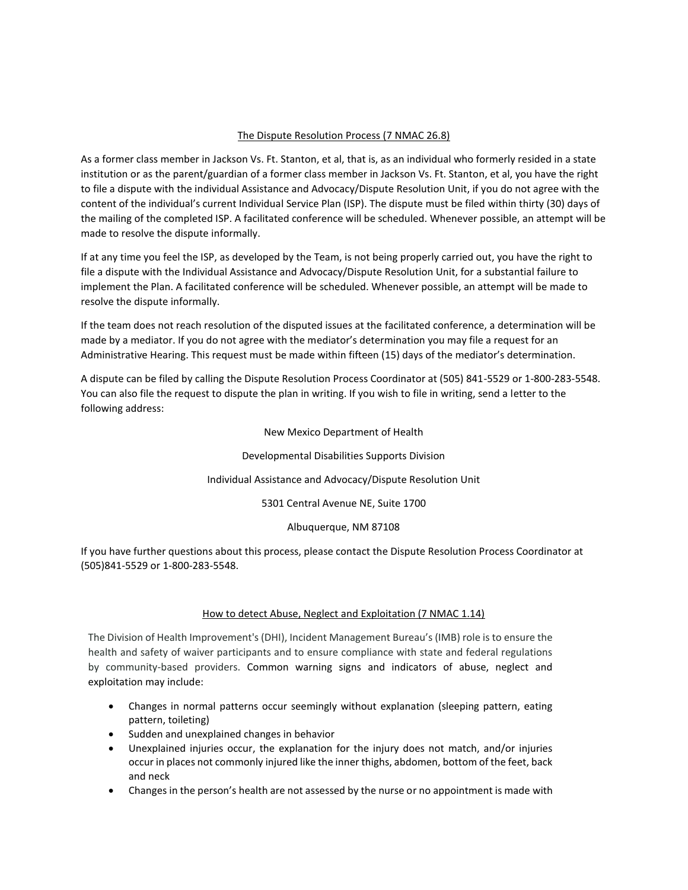# The Dispute Resolution Process (7 NMAC 26.8)

As a former class member in Jackson Vs. Ft. Stanton, et al, that is, as an individual who formerly resided in a state institution or as the parent/guardian of a former class member in Jackson Vs. Ft. Stanton, et al, you have the right to file a dispute with the individual Assistance and Advocacy/Dispute Resolution Unit, if you do not agree with the content of the individual's current Individual Service Plan (ISP). The dispute must be filed within thirty (30) days of the mailing of the completed ISP. A facilitated conference will be scheduled. Whenever possible, an attempt will be made to resolve the dispute informally.

If at any time you feel the ISP, as developed by the Team, is not being properly carried out, you have the right to file a dispute with the Individual Assistance and Advocacy/Dispute Resolution Unit, for a substantial failure to implement the Plan. A facilitated conference will be scheduled. Whenever possible, an attempt will be made to resolve the dispute informally.

If the team does not reach resolution of the disputed issues at the facilitated conference, a determination will be made by a mediator. If you do not agree with the mediator's determination you may file a request for an Administrative Hearing. This request must be made within fifteen (15) days of the mediator's determination.

A dispute can be filed by calling the Dispute Resolution Process Coordinator at (505) 841-5529 or 1-800-283-5548. You can also file the request to dispute the plan in writing. If you wish to file in writing, send a letter to the following address:

## New Mexico Department of Health

## Developmental Disabilities Supports Division

## Individual Assistance and Advocacy/Dispute Resolution Unit

5301 Central Avenue NE, Suite 1700

## Albuquerque, NM 87108

If you have further questions about this process, please contact the Dispute Resolution Process Coordinator at (505)841-5529 or 1-800-283-5548.

## How to detect Abuse, Neglect and Exploitation (7 NMAC 1.14)

The Division of Health Improvement's (DHI), Incident Management Bureau's (IMB) role is to ensure the health and safety of waiver participants and to ensure compliance with state and federal regulations by community-based providers. Common warning signs and indicators of abuse, neglect and exploitation may include:

- Changes in normal patterns occur seemingly without explanation (sleeping pattern, eating pattern, toileting)
- Sudden and unexplained changes in behavior
- Unexplained injuries occur, the explanation for the injury does not match, and/or injuries occur in places not commonly injured like the inner thighs, abdomen, bottom of the feet, back and neck
- Changes in the person's health are not assessed by the nurse or no appointment is made with